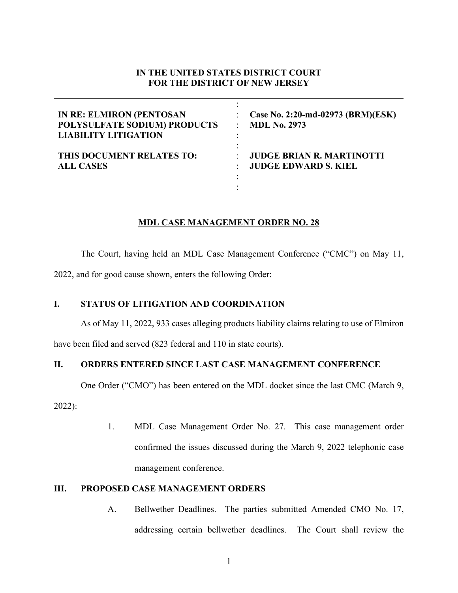# **IN THE UNITED STATES DISTRICT COURT FOR THE DISTRICT OF NEW JERSEY**

| <b>IN RE: ELMIRON (PENTOSAN</b> | Case No. 2:20-md-02973 (BRM)(ESK) |
|---------------------------------|-----------------------------------|
| POLYSULFATE SODIUM) PRODUCTS    | <b>MDL No. 2973</b>               |
| <b>LIABILITY LITIGATION</b>     | ۰                                 |
| THIS DOCUMENT RELATES TO:       | <b>JUDGE BRIAN R. MARTINOTTI</b>  |
| <b>ALL CASES</b>                | <b>JUDGE EDWARD S. KIEL</b>       |

# **MDL CASE MANAGEMENT ORDER NO. 28**

The Court, having held an MDL Case Management Conference ("CMC") on May 11,

2022, and for good cause shown, enters the following Order:

# **I. STATUS OF LITIGATION AND COORDINATION**

As of May 11, 2022, 933 cases alleging products liability claims relating to use of Elmiron

have been filed and served (823 federal and 110 in state courts).

### **II. ORDERS ENTERED SINCE LAST CASE MANAGEMENT CONFERENCE**

One Order ("CMO") has been entered on the MDL docket since the last CMC (March 9,

2022):

1. MDL Case Management Order No. 27. This case management order confirmed the issues discussed during the March 9, 2022 telephonic case management conference.

# **III. PROPOSED CASE MANAGEMENT ORDERS**

A. Bellwether Deadlines. The parties submitted Amended CMO No. 17, addressing certain bellwether deadlines. The Court shall review the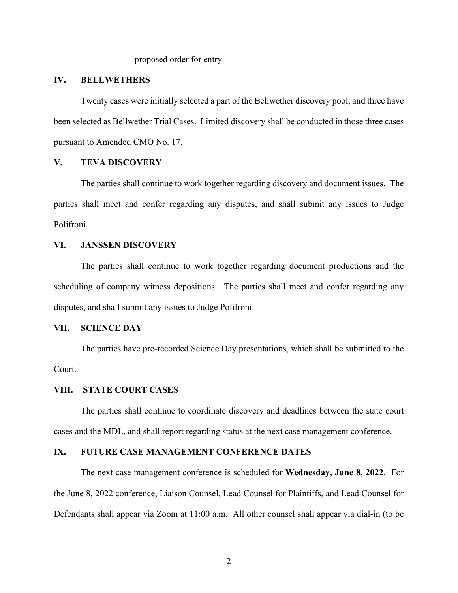proposed order for entry.

### **IV. BELLWETHERS**

Twenty cases were initially selected a part of the Bellwether discovery pool, and three have been selected as Bellwether Trial Cases. Limited discovery shall be conducted in those three cases pursuant to Amended CMO No. 17.

# **V. TEVA DISCOVERY**

The parties shall continue to work together regarding discovery and document issues. The parties shall meet and confer regarding any disputes, and shall submit any issues to Judge Polifroni.

#### **VI. JANSSEN DISCOVERY**

The parties shall continue to work together regarding document productions and the scheduling of company witness depositions. The parties shall meet and confer regarding any disputes, and shall submit any issues to Judge Polifroni.

#### **VII. SCIENCE DAY**

The parties have pre-recorded Science Day presentations, which shall be submitted to the Court.

#### **VIII. STATE COURT CASES**

The parties shall continue to coordinate discovery and deadlines between the state court cases and the MDL, and shall report regarding status at the next case management conference.

#### **IX. FUTURE CASE MANAGEMENT CONFERENCE DATES**

The next case management conference is scheduled for **Wednesday, June 8, 2022**. For the June 8, 2022 conference, Liaison Counsel, Lead Counsel for Plaintiffs, and Lead Counsel for Defendants shall appear via Zoom at 11:00 a.m. All other counsel shall appear via dial-in (to be